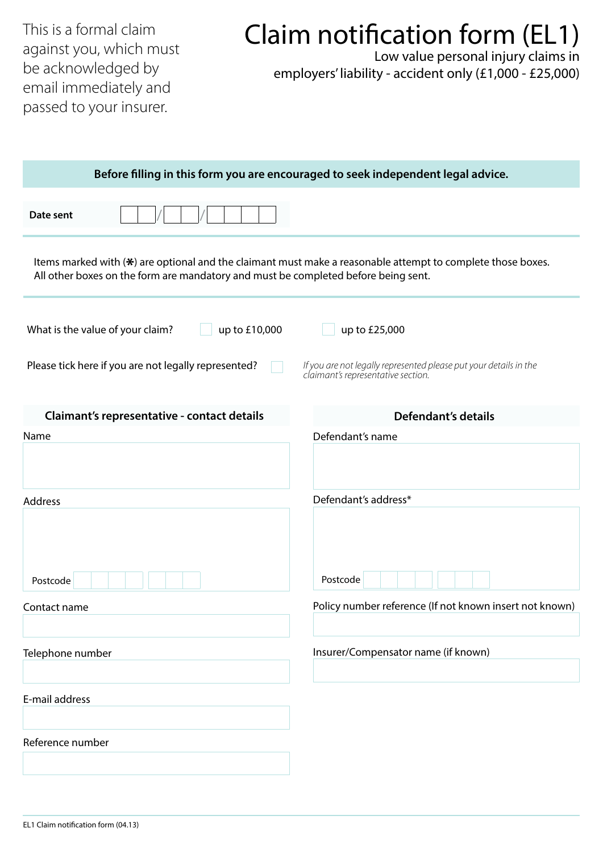This is a formal claim against you, which must be acknowledged by email immediately and passed to your insurer.

## Claim notification form (EL1)

Low value personal injury claims in employers' liability - accident only (£1,000 - £25,000)

| Before filling in this form you are encouraged to seek independent legal advice.   |                                                                                                             |  |  |  |
|------------------------------------------------------------------------------------|-------------------------------------------------------------------------------------------------------------|--|--|--|
| Date sent                                                                          |                                                                                                             |  |  |  |
| All other boxes on the form are mandatory and must be completed before being sent. | Items marked with (*) are optional and the claimant must make a reasonable attempt to complete those boxes. |  |  |  |
| What is the value of your claim?<br>up to £10,000                                  | up to £25,000                                                                                               |  |  |  |
| Please tick here if you are not legally represented?                               | If you are not legally represented please put your details in the<br>claimant's representative section.     |  |  |  |
| Claimant's representative - contact details                                        | <b>Defendant's details</b>                                                                                  |  |  |  |
| Name                                                                               | Defendant's name                                                                                            |  |  |  |
|                                                                                    |                                                                                                             |  |  |  |
| Address                                                                            | Defendant's address*                                                                                        |  |  |  |
| Postcode                                                                           | Postcode                                                                                                    |  |  |  |
| Contact name                                                                       | Policy number reference (If not known insert not known)                                                     |  |  |  |
| Telephone number                                                                   | Insurer/Compensator name (if known)                                                                         |  |  |  |
| E-mail address                                                                     |                                                                                                             |  |  |  |
| Reference number                                                                   |                                                                                                             |  |  |  |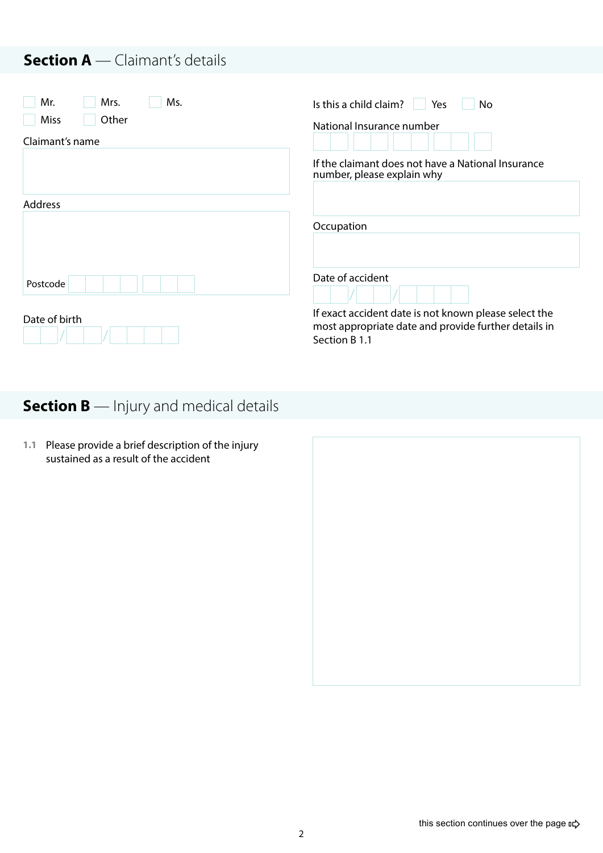#### **Section A** — Claimant's details

| Mr.<br>Mrs.<br>Ms.<br>Other<br>Miss<br>Claimant's name | Is this a child claim?<br>No.<br><b>Yes</b><br>National Insurance number                                                       |
|--------------------------------------------------------|--------------------------------------------------------------------------------------------------------------------------------|
|                                                        | If the claimant does not have a National Insurance<br>number, please explain why                                               |
| <b>Address</b>                                         |                                                                                                                                |
|                                                        | Occupation                                                                                                                     |
| Postcode                                               | Date of accident                                                                                                               |
| Date of birth                                          | If exact accident date is not known please select the<br>most appropriate date and provide further details in<br>Section B 1.1 |

### **Section B** — Injury and medical details

**1.1** Please provide a brief description of the injury sustained as a result of the accident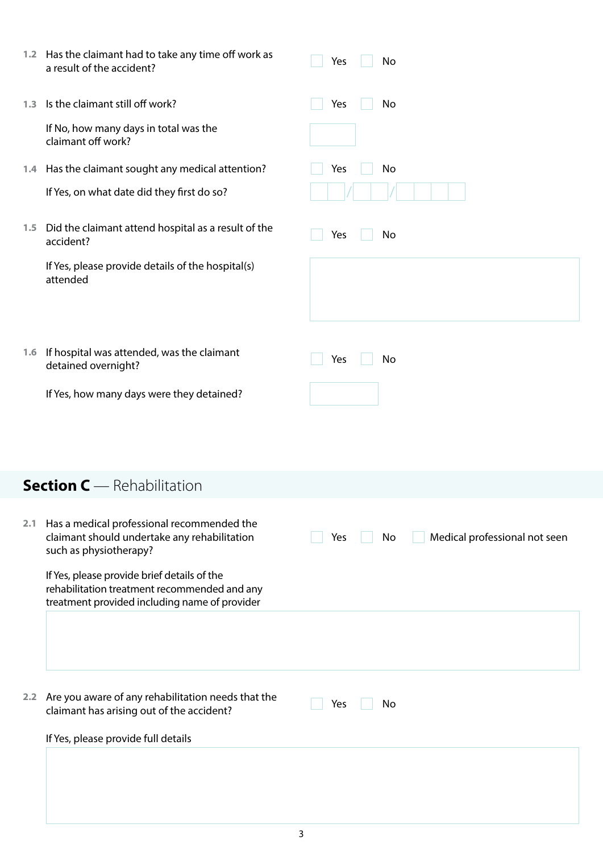|     | 1.2 Has the claimant had to take any time off work as<br>a result of the accident?                                                                                  | Yes<br>No                                  |
|-----|---------------------------------------------------------------------------------------------------------------------------------------------------------------------|--------------------------------------------|
| 1.3 | Is the claimant still off work?                                                                                                                                     | Yes<br>No                                  |
|     | If No, how many days in total was the<br>claimant off work?                                                                                                         |                                            |
|     | 1.4 Has the claimant sought any medical attention?                                                                                                                  | Yes<br>No                                  |
|     | If Yes, on what date did they first do so?                                                                                                                          |                                            |
| 1.5 | Did the claimant attend hospital as a result of the<br>accident?                                                                                                    | Yes<br>No                                  |
|     | If Yes, please provide details of the hospital(s)<br>attended                                                                                                       |                                            |
|     | 1.6 If hospital was attended, was the claimant<br>detained overnight?                                                                                               | Yes<br>No                                  |
|     | If Yes, how many days were they detained?                                                                                                                           |                                            |
|     | <b>Section C</b> - Rehabilitation                                                                                                                                   |                                            |
|     |                                                                                                                                                                     |                                            |
| 2.1 | Has a medical professional recommended the<br>claimant should undertake any rehabilitation<br>such as physiotherapy?<br>If Yes, please provide brief details of the | Medical professional not seen<br>Yes<br>No |
|     | rehabilitation treatment recommended and any<br>treatment provided including name of provider                                                                       |                                            |
|     |                                                                                                                                                                     |                                            |
|     | 2.2 Are you aware of any rehabilitation needs that the<br>claimant has arising out of the accident?                                                                 | Yes<br>No                                  |
|     | If Yes, please provide full details                                                                                                                                 |                                            |
|     |                                                                                                                                                                     |                                            |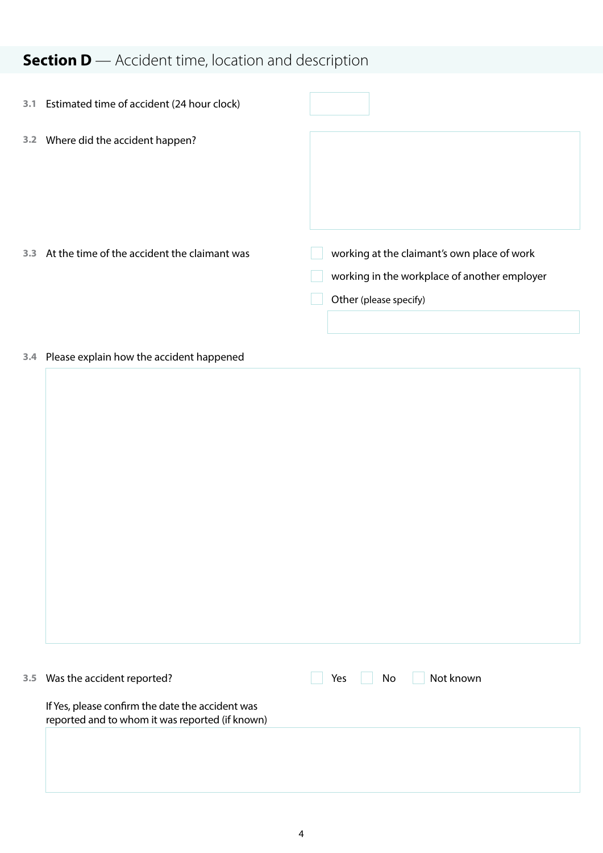## **Section D** — Accident time, location and description

| 3.1 | Estimated time of accident (24 hour clock)   |                                                                                                                       |
|-----|----------------------------------------------|-----------------------------------------------------------------------------------------------------------------------|
| 3.2 | Where did the accident happen?               |                                                                                                                       |
|     |                                              |                                                                                                                       |
| 3.3 | At the time of the accident the claimant was | working at the claimant's own place of work<br>working in the workplace of another employer<br>Other (please specify) |

#### **3.4** Please explain how the accident happened

| 3.5 Was the accident reported?                                                                      | Not known<br>Yes<br>No |
|-----------------------------------------------------------------------------------------------------|------------------------|
| If Yes, please confirm the date the accident was<br>reported and to whom it was reported (if known) |                        |
|                                                                                                     |                        |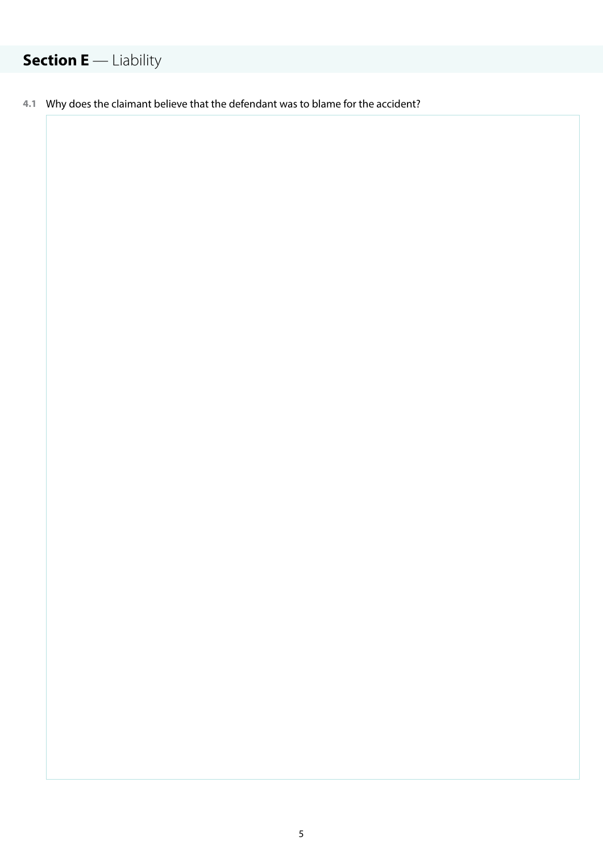## **Section E** — Liability

**4.1** Why does the claimant believe that the defendant was to blame for the accident?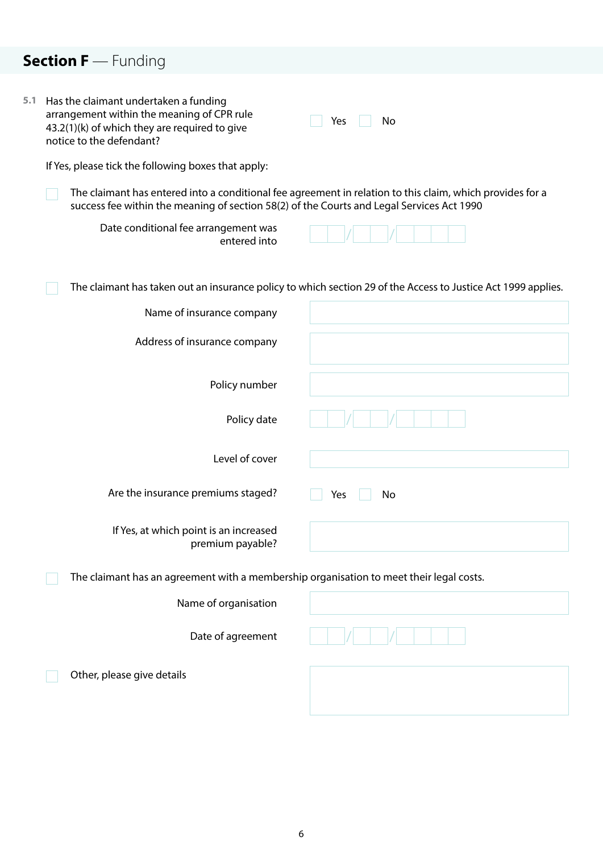## **Section F** — Funding

| 5.1 | Has the claimant undertaken a funding<br>arrangement within the meaning of CPR rule<br>43.2(1)(k) of which they are required to give<br>notice to the defendant? | No<br>Yes                                                                                                     |
|-----|------------------------------------------------------------------------------------------------------------------------------------------------------------------|---------------------------------------------------------------------------------------------------------------|
|     | If Yes, please tick the following boxes that apply:                                                                                                              |                                                                                                               |
|     | success fee within the meaning of section 58(2) of the Courts and Legal Services Act 1990                                                                        | The claimant has entered into a conditional fee agreement in relation to this claim, which provides for a     |
|     | Date conditional fee arrangement was<br>entered into                                                                                                             |                                                                                                               |
|     |                                                                                                                                                                  | The claimant has taken out an insurance policy to which section 29 of the Access to Justice Act 1999 applies. |
|     | Name of insurance company                                                                                                                                        |                                                                                                               |
|     | Address of insurance company                                                                                                                                     |                                                                                                               |
|     | Policy number                                                                                                                                                    |                                                                                                               |
|     | Policy date                                                                                                                                                      |                                                                                                               |
|     | Level of cover                                                                                                                                                   |                                                                                                               |
|     | Are the insurance premiums staged?                                                                                                                               | No<br>Yes                                                                                                     |
|     | If Yes, at which point is an increased<br>premium payable?                                                                                                       |                                                                                                               |
|     | The claimant has an agreement with a membership organisation to meet their legal costs.                                                                          |                                                                                                               |
|     | Name of organisation                                                                                                                                             |                                                                                                               |
|     | Date of agreement                                                                                                                                                |                                                                                                               |
|     | Other, please give details                                                                                                                                       |                                                                                                               |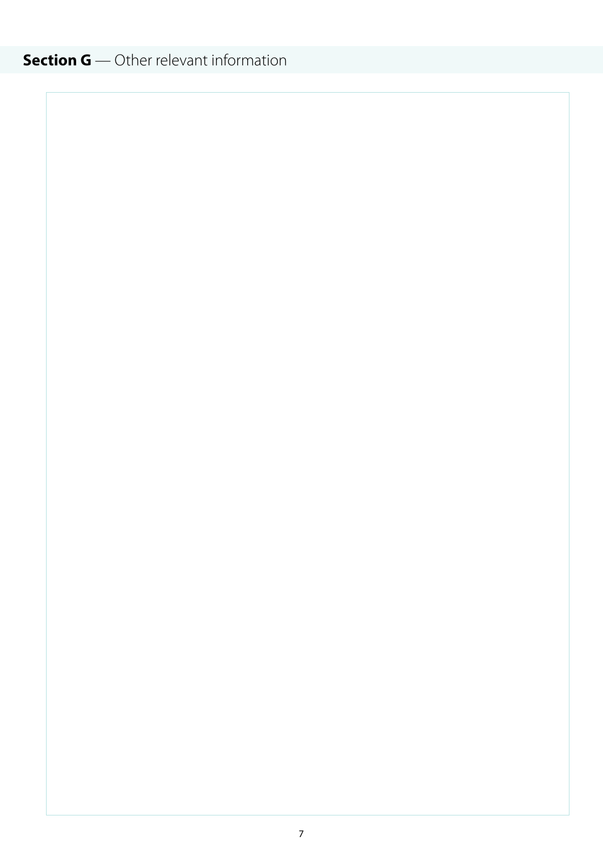## **Section G** — Other relevant information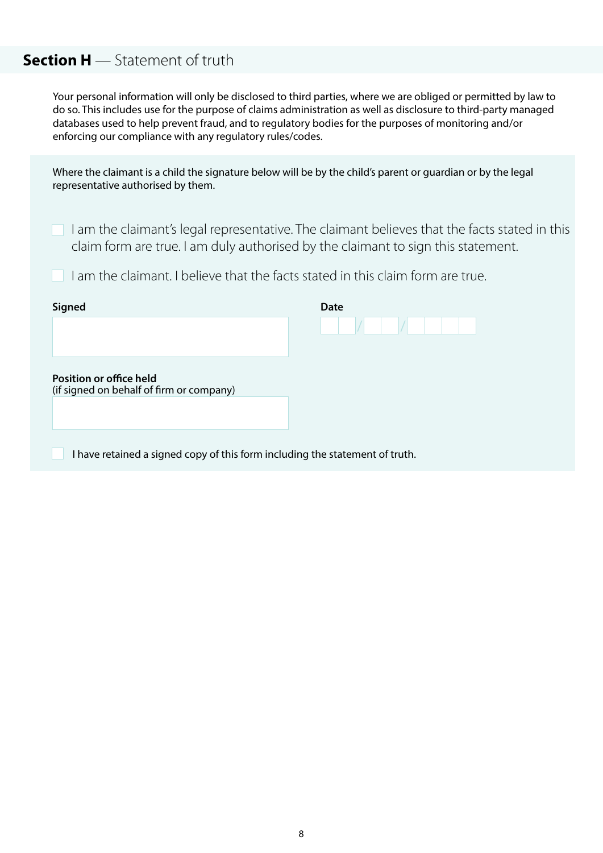#### **Section H** — Statement of truth

Your personal information will only be disclosed to third parties, where we are obliged or permitted by law to do so. This includes use for the purpose of claims administration as well as disclosure to third-party managed databases used to help prevent fraud, and to regulatory bodies for the purposes of monitoring and/or enforcing our compliance with any regulatory rules/codes.

| Where the claimant is a child the signature below will be by the child's parent or guardian or by the legal<br>representative authorised by them.                                  |      |  |  |  |
|------------------------------------------------------------------------------------------------------------------------------------------------------------------------------------|------|--|--|--|
| I am the claimant's legal representative. The claimant believes that the facts stated in this<br>claim form are true. I am duly authorised by the claimant to sign this statement. |      |  |  |  |
| am the claimant. I believe that the facts stated in this claim form are true.                                                                                                      |      |  |  |  |
| Signed                                                                                                                                                                             | Date |  |  |  |
|                                                                                                                                                                                    |      |  |  |  |
| <b>Position or office held</b><br>(if signed on behalf of firm or company)                                                                                                         |      |  |  |  |
|                                                                                                                                                                                    |      |  |  |  |
| I have retained a signed copy of this form including the statement of truth.                                                                                                       |      |  |  |  |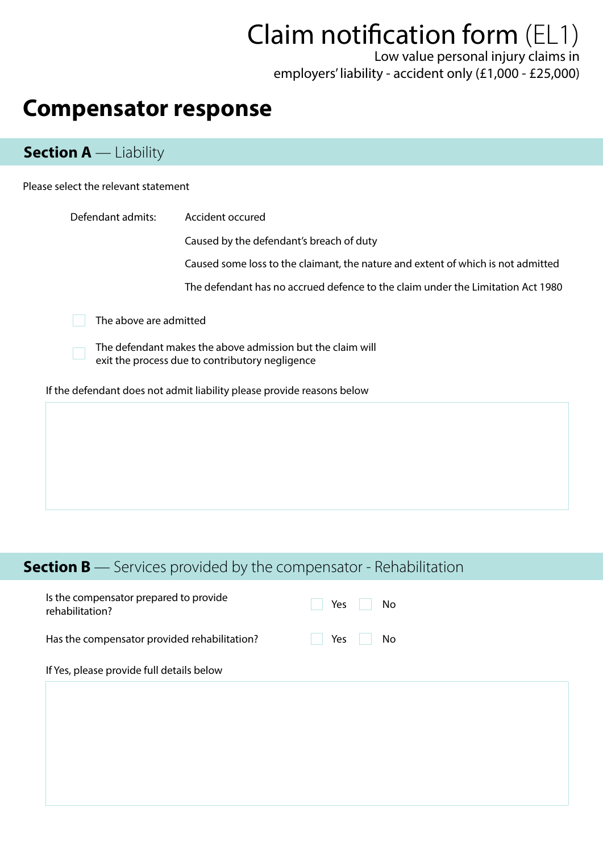# Claim notification form (EL1)

Low value personal injury claims in employers' liability - accident only (£1,000 - £25,000)

## **Compensator response**

#### **Section A** — Liability

#### Please select the relevant statement

| Defendant admits:                                                                                                                       | Accident occured                                                                 |  |  |  |  |
|-----------------------------------------------------------------------------------------------------------------------------------------|----------------------------------------------------------------------------------|--|--|--|--|
|                                                                                                                                         | Caused by the defendant's breach of duty                                         |  |  |  |  |
|                                                                                                                                         | Caused some loss to the claimant, the nature and extent of which is not admitted |  |  |  |  |
|                                                                                                                                         | The defendant has no accrued defence to the claim under the Limitation Act 1980  |  |  |  |  |
| The above are admitted<br>The defendant makes the above admission but the claim will<br>exit the process due to contributory negligence |                                                                                  |  |  |  |  |
|                                                                                                                                         | If the defendant does not admit liability please provide reasons below           |  |  |  |  |
|                                                                                                                                         |                                                                                  |  |  |  |  |

#### **Section B** — Services provided by the compensator - Rehabilitation

| Is the compensator prepared to provide<br>rehabilitation? | Yes<br>No |
|-----------------------------------------------------------|-----------|
| Has the compensator provided rehabilitation?              | Yes<br>No |
| If Yes, please provide full details below                 |           |
|                                                           |           |
|                                                           |           |
|                                                           |           |
|                                                           |           |
|                                                           |           |
|                                                           |           |